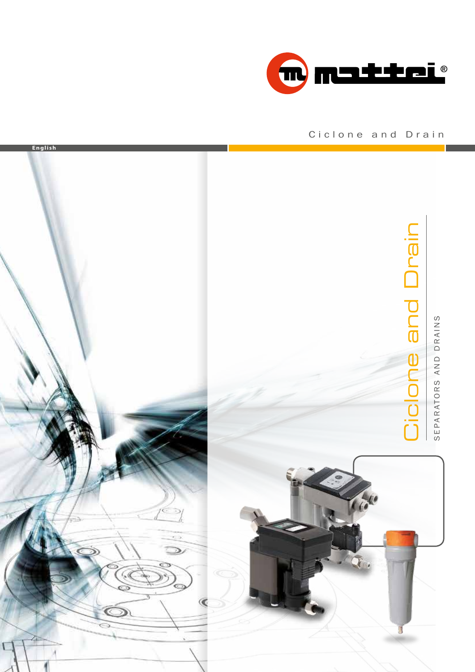

### Ciclone and Drain